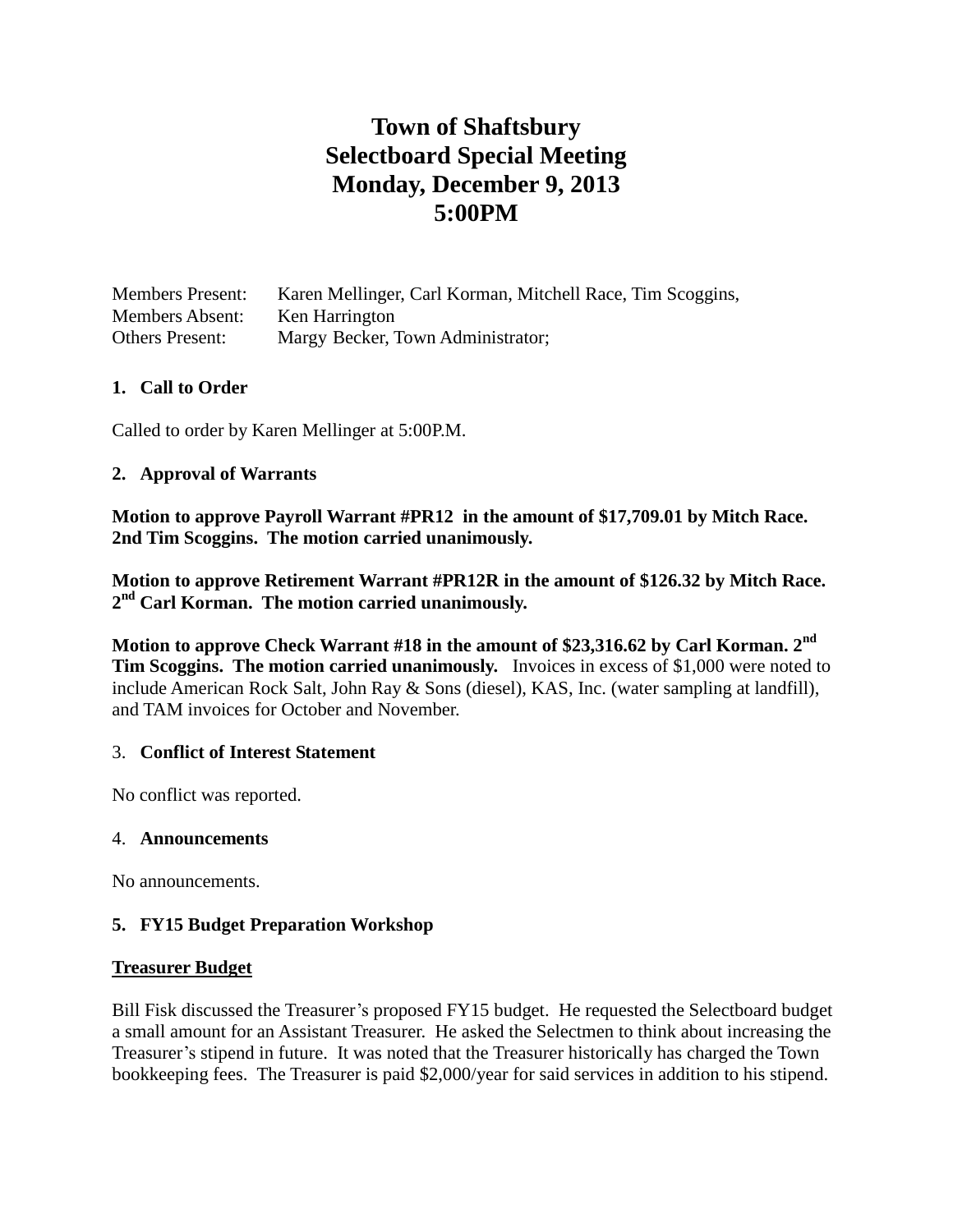# **Town of Shaftsbury Selectboard Special Meeting Monday, December 9, 2013 5:00PM**

| <b>Members Present:</b> | Karen Mellinger, Carl Korman, Mitchell Race, Tim Scoggins, |
|-------------------------|------------------------------------------------------------|
| <b>Members Absent:</b>  | Ken Harrington                                             |
| <b>Others Present:</b>  | Margy Becker, Town Administrator;                          |

## **1. Call to Order**

Called to order by Karen Mellinger at 5:00P.M.

## **2. Approval of Warrants**

**Motion to approve Payroll Warrant #PR12 in the amount of \$17,709.01 by Mitch Race. 2nd Tim Scoggins. The motion carried unanimously.**

**Motion to approve Retirement Warrant #PR12R in the amount of \$126.32 by Mitch Race. 2 nd Carl Korman. The motion carried unanimously.**

**Motion to approve Check Warrant #18 in the amount of \$23,316.62 by Carl Korman. 2nd Tim Scoggins. The motion carried unanimously.** Invoices in excess of \$1,000 were noted to include American Rock Salt, John Ray & Sons (diesel), KAS, Inc. (water sampling at landfill), and TAM invoices for October and November.

## 3. **Conflict of Interest Statement**

No conflict was reported.

#### 4. **Announcements**

No announcements.

## **5. FY15 Budget Preparation Workshop**

#### **Treasurer Budget**

Bill Fisk discussed the Treasurer's proposed FY15 budget. He requested the Selectboard budget a small amount for an Assistant Treasurer. He asked the Selectmen to think about increasing the Treasurer's stipend in future. It was noted that the Treasurer historically has charged the Town bookkeeping fees. The Treasurer is paid \$2,000/year for said services in addition to his stipend.